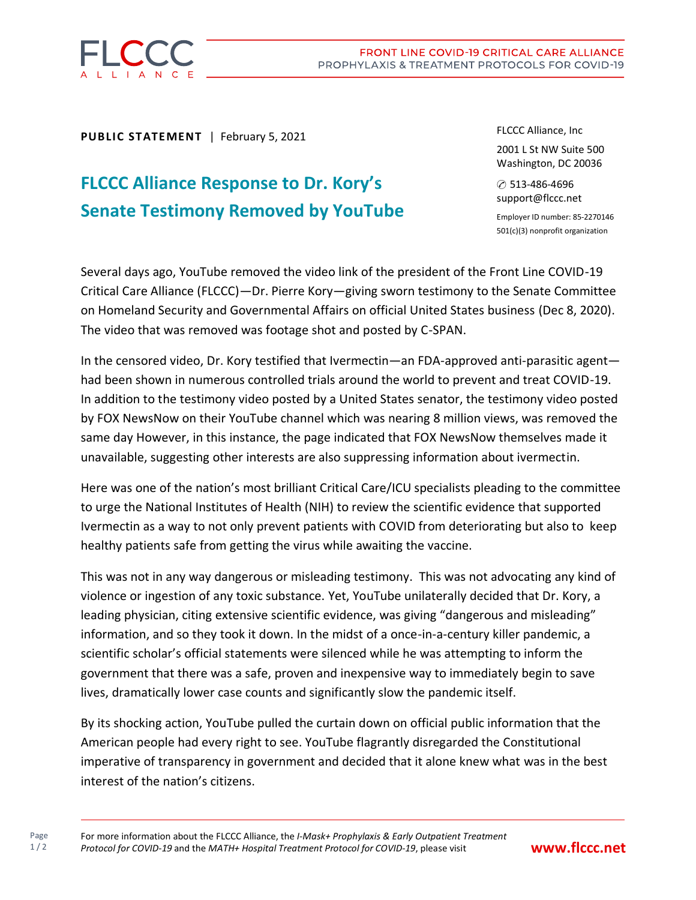

Page  $1/2$  **PUBLIC STATEMENT** | February 5, 2021

## **FLCCC Alliance Response to Dr. Kory's Senate Testimony Removed by YouTube**

FLCCC Alliance, Inc 2001 L St NW Suite 500 Washington, DC 20036

✆ 513-486-4696 support@flccc.net

Employer ID number: 85-2270146 501(c)(3) nonprofit organization

Several days ago, YouTube removed the video link of the president of the Front Line COVID-19 Critical Care Alliance (FLCCC)—Dr. Pierre Kory—giving sworn testimony to the Senate Committee on Homeland Security and Governmental Affairs on official United States business (Dec 8, 2020). The video that was removed was footage shot and posted by C-SPAN.

In the censored video, Dr. Kory testified that Ivermectin—an FDA-approved anti-parasitic agent had been shown in numerous controlled trials around the world to prevent and treat COVID-19. In addition to the testimony video posted by a United States senator, the testimony video posted by FOX NewsNow on their YouTube channel which was nearing 8 million views, was removed the same day However, in this instance, the page indicated that FOX NewsNow themselves made it unavailable, suggesting other interests are also suppressing information about ivermectin.

Here was one of the nation's most brilliant Critical Care/ICU specialists pleading to the committee to urge the National Institutes of Health (NIH) to review the scientific evidence that supported Ivermectin as a way to not only prevent patients with COVID from deteriorating but also to keep healthy patients safe from getting the virus while awaiting the vaccine.

This was not in any way dangerous or misleading testimony. This was not advocating any kind of violence or ingestion of any toxic substance. Yet, YouTube unilaterally decided that Dr. Kory, a leading physician, citing extensive scientific evidence, was giving "dangerous and misleading" information, and so they took it down. In the midst of a once-in-a-century killer pandemic, a scientific scholar's official statements were silenced while he was attempting to inform the government that there was a safe, proven and inexpensive way to immediately begin to save lives, dramatically lower case counts and significantly slow the pandemic itself.

By its shocking action, YouTube pulled the curtain down on official public information that the American people had every right to see. YouTube flagrantly disregarded the Constitutional imperative of transparency in government and decided that it alone knew what was in the best interest of the nation's citizens.